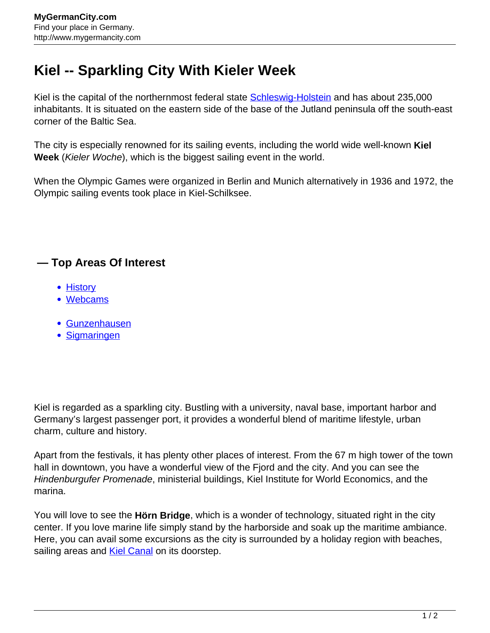## **Kiel -- Sparkling City With Kieler Week**

Kiel is the capital of the northernmost federal state **[Schleswig-Holstein](http://www.mygermancity.com/schleswig-holstein)** and has about 235,000 inhabitants. It is situated on the eastern side of the base of the Jutland peninsula off the south-east corner of the Baltic Sea.

The city is especially renowned for its sailing events, including the world wide well-known **Kiel Week** (Kieler Woche), which is the biggest sailing event in the world.

When the Olympic Games were organized in Berlin and Munich alternatively in 1936 and 1972, the Olympic sailing events took place in Kiel-Schilksee.

## **— Top Areas Of Interest**

- [History](http://www.mygermancity.com/leipzig-history)
- [Webcams](http://www.mygermancity.com/neustadt-holstein-webcams)
- [Gunzenhausen](http://www.mygermancity.com/gunzenhausen)
- [Sigmaringen](http://www.mygermancity.com/sigmaringen)

Kiel is regarded as a sparkling city. Bustling with a university, naval base, important harbor and Germany's largest passenger port, it provides a wonderful blend of maritime lifestyle, urban charm, culture and history.

Apart from the festivals, it has plenty other places of interest. From the 67 m high tower of the town hall in downtown, you have a wonderful view of the Fjord and the city. And you can see the Hindenburgufer Promenade, ministerial buildings, Kiel Institute for World Economics, and the marina.

You will love to see the **Hörn Bridge**, which is a wonder of technology, situated right in the city center. If you love marine life simply stand by the harborside and soak up the maritime ambiance. Here, you can avail some excursions as the city is surrounded by a holiday region with beaches, sailing areas and **[Kiel Canal](http://www.mygermancity.com/kiel-canal)** on its doorstep.